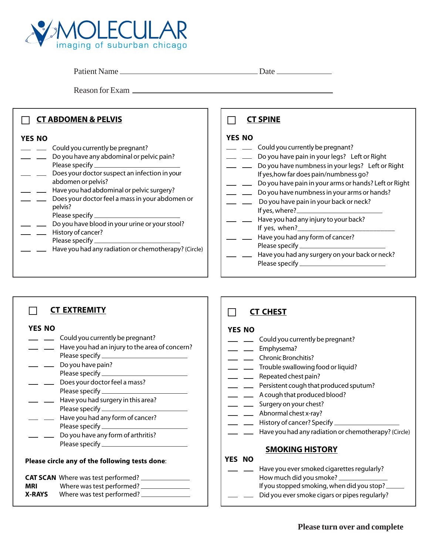

Patient Name Date

Reason for Exam

| <b>CT ABDOMEN &amp; PELVIS</b>                                                                                                                                                                                                                                                                                                                                                                                       | <b>CT SPINE</b>                                                                                                                                                                                                                                                                                                                                                                                                                                                                  |
|----------------------------------------------------------------------------------------------------------------------------------------------------------------------------------------------------------------------------------------------------------------------------------------------------------------------------------------------------------------------------------------------------------------------|----------------------------------------------------------------------------------------------------------------------------------------------------------------------------------------------------------------------------------------------------------------------------------------------------------------------------------------------------------------------------------------------------------------------------------------------------------------------------------|
| <b>YES NO</b><br>Could you currently be pregnant?<br>- - Do you have any abdominal or pelvic pain?<br>Does your doctor suspect an infection in your<br>abdomen or pelvis?<br>Have you had abdominal or pelvic surgery?<br>Does your doctor feel a mass in your abdomen or<br>pelvis?<br>Do you have blood in your urine or your stool?<br>History of cancer?<br>Have you had any radiation or chemotherapy? (Circle) | <b>YES NO</b><br>Could you currently be pregnant?<br>Do you have pain in your legs? Left or Right<br>Do you have numbness in your legs? Left or Right<br>If yes, how far does pain/numbness go?<br>Do you have pain in your arms or hands? Left or Right<br>Do you have numbness in your arms or hands?<br>Do you have pain in your back or neck?<br>Have you had any injury to your back?<br>Have you had any form of cancer?<br>Have you had any surgery on your back or neck? |

#### П **CT EXTREMITY**

## **YES NO**

- \_ **\_\_\_** Could you currently be pregnant?
- Have you had an injury to the area of concern? Please specify
- Do you have pain? Please specify \_\_\_\_\_\_\_
- Does your doctor feel a mass? Please specify \_\_\_\_\_\_\_\_\_\_\_
- **Lack** Have you had surgery in this area? Please specify
- **EXEC** Have you had any form of cancer? Please specify
- Do you have any form of arthritis? Please specify

## **Please circle any of the following tests done**:

|               | <b>CAT SCAN</b> Where was test performed? |
|---------------|-------------------------------------------|
| <b>MRI</b>    | Where was test performed? _               |
| <b>X-RAYS</b> | Where was test performed?                 |

#### П **CT CHEST**

## **YES NO**

- \_ **\_\_\_** Could you currently be pregnant?
- \_ *\_\_* Emphysema?
- **Example 2** Chronic Bronchitis?
- **Trouble swallowing food or liquid?**
- Pepeated chest pain?
- Persistent cough that produced sputum?
- A cough that produced blood?
- Surgery on your chest?
- Abnormal chest x-ray?
- <u>Late</u> History of cancer? Specify
- Have you had any radiation or chemotherapy? (Circle)

# **SMOKING HISTORY**

# **YES NO**

Have you ever smoked cigarettes regularly? How much did you smoke? If you stopped smoking, when did you stop? Did you ever smoke cigars or pipes regularly?